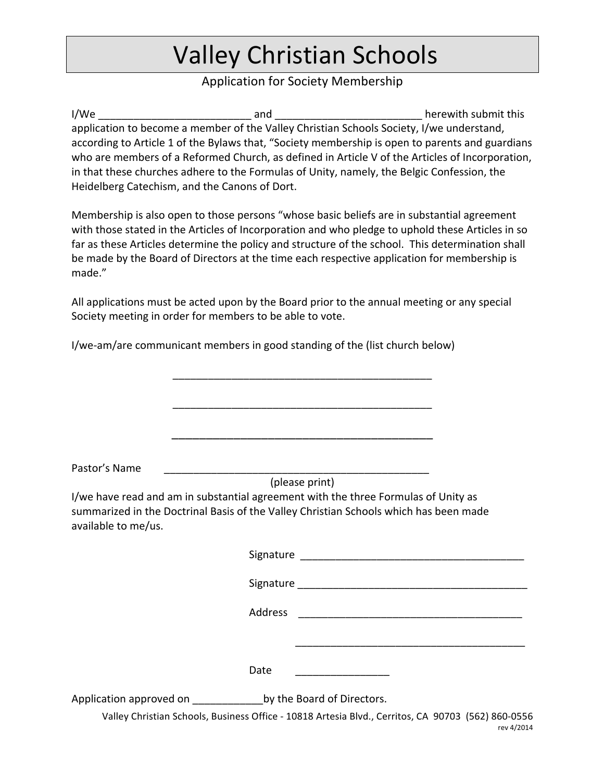# **Valley Christian Schools**

## Application for Society Membership

I/We and the contract of the contract of the contract of the contract of the contract of the contract of the contract of the contract of the contract of the contract of the contract of the contract of the contract of the c application to become a member of the Valley Christian Schools Society, I/we understand, according to Article 1 of the Bylaws that, "Society membership is open to parents and guardians who are members of a Reformed Church, as defined in Article V of the Articles of Incorporation, in that these churches adhere to the Formulas of Unity, namely, the Belgic Confession, the Heidelberg Catechism, and the Canons of Dort.

Membership is also open to those persons "whose basic beliefs are in substantial agreement with those stated in the Articles of Incorporation and who pledge to uphold these Articles in so far as these Articles determine the policy and structure of the school. This determination shall be made by the Board of Directors at the time each respective application for membership is made."

All applications must be acted upon by the Board prior to the annual meeting or any special Society meeting in order for members to be able to vote.

I/we-am/are communicant members in good standing of the (list church below)

Pastor's Name

(please print)

\_\_\_\_\_\_\_\_\_\_\_\_\_\_\_\_\_\_\_\_\_\_\_\_\_\_\_\_\_\_\_\_\_\_\_\_\_\_\_\_\_\_\_\_

\_\_\_\_\_\_\_\_\_\_\_\_\_\_\_\_\_\_\_\_\_\_\_\_\_\_\_\_\_\_\_\_\_\_\_\_\_\_\_\_\_\_\_\_

\_\_\_\_\_\_\_\_\_\_\_\_\_\_\_\_\_\_\_\_\_\_\_\_\_\_\_\_\_\_\_\_\_\_\_\_\_\_

I/we have read and am in substantial agreement with the three Formulas of Unity as summarized in the Doctrinal Basis of the Valley Christian Schools which has been made available to me/us.

|                                                    | Signature |                                                                                                    |
|----------------------------------------------------|-----------|----------------------------------------------------------------------------------------------------|
|                                                    |           |                                                                                                    |
|                                                    | Address   |                                                                                                    |
|                                                    | Date      |                                                                                                    |
| Application approved on by the Board of Directors. |           |                                                                                                    |
|                                                    |           | Valley Christian Schools, Business Office - 10818 Artesia Blvd., Cerritos, CA 90703 (562) 860-0556 |

rev!4/2014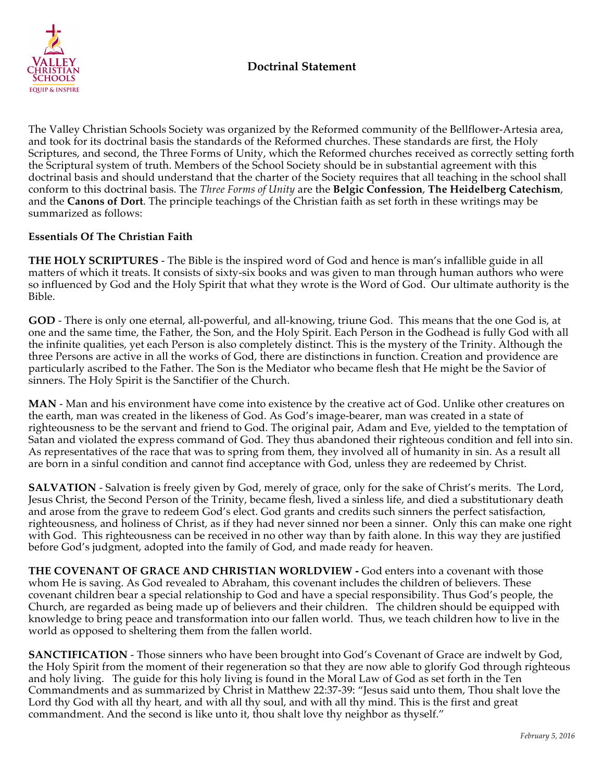

The Valley Christian Schools Society was organized by the Reformed community of the Bellflower-Artesia area, and took for its doctrinal basis the standards of the Reformed churches. These standards are first, the Holy Scriptures, and second, the Three Forms of Unity, which the Reformed churches received as correctly setting forth the Scriptural system of truth. Members of the School Society should be in substantial agreement with this doctrinal basis and should understand that the charter of the Society requires that all teaching in the school shall conform to this doctrinal basis. The *Three Forms of Unity* are the **Belgic Confession**, **The Heidelberg Catechism**, and the **Canons of Dort**. The principle teachings of the Christian faith as set forth in these writings may be summarized as follows:

## **Essentials Of The Christian Faith**

**THE HOLY SCRIPTURES** - The Bible is the inspired word of God and hence is man's infallible guide in all matters of which it treats. It consists of sixty-six books and was given to man through human authors who were so influenced by God and the Holy Spirit that what they wrote is the Word of God. Our ultimate authority is the Bible.

**GOD** - There is only one eternal, all-powerful, and all-knowing, triune God. This means that the one God is, at one and the same time, the Father, the Son, and the Holy Spirit. Each Person in the Godhead is fully God with all the infinite qualities, yet each Person is also completely distinct. This is the mystery of the Trinity. Although the three Persons are active in all the works of God, there are distinctions in function. Creation and providence are particularly ascribed to the Father. The Son is the Mediator who became flesh that He might be the Savior of sinners. The Holy Spirit is the Sanctifier of the Church.

**MAN** - Man and his environment have come into existence by the creative act of God. Unlike other creatures on the earth, man was created in the likeness of God. As God's image-bearer, man was created in a state of righteousness to be the servant and friend to God. The original pair, Adam and Eve, yielded to the temptation of Satan and violated the express command of God. They thus abandoned their righteous condition and fell into sin. As representatives of the race that was to spring from them, they involved all of humanity in sin. As a result all are born in a sinful condition and cannot find acceptance with God, unless they are redeemed by Christ.

**SALVATION** - Salvation is freely given by God, merely of grace, only for the sake of Christ's merits. The Lord, Jesus Christ, the Second Person of the Trinity, became flesh, lived a sinless life, and died a substitutionary death and arose from the grave to redeem God's elect. God grants and credits such sinners the perfect satisfaction, righteousness, and holiness of Christ, as if they had never sinned nor been a sinner. Only this can make one right with God. This righteousness can be received in no other way than by faith alone. In this way they are justified before God's judgment, adopted into the family of God, and made ready for heaven.

**THE COVENANT OF GRACE AND CHRISTIAN WORLDVIEW -** God enters into a covenant with those whom He is saving. As God revealed to Abraham, this covenant includes the children of believers. These covenant children bear a special relationship to God and have a special responsibility. Thus God's people, the Church, are regarded as being made up of believers and their children. The children should be equipped with knowledge to bring peace and transformation into our fallen world. Thus, we teach children how to live in the world as opposed to sheltering them from the fallen world.

**SANCTIFICATION** - Those sinners who have been brought into God's Covenant of Grace are indwelt by God, the Holy Spirit from the moment of their regeneration so that they are now able to glorify God through righteous and holy living. The guide for this holy living is found in the Moral Law of God as set forth in the Ten Commandments and as summarized by Christ in Matthew 22:37-39: "Jesus said unto them, Thou shalt love the Lord thy God with all thy heart, and with all thy soul, and with all thy mind. This is the first and great commandment. And the second is like unto it, thou shalt love thy neighbor as thyself."